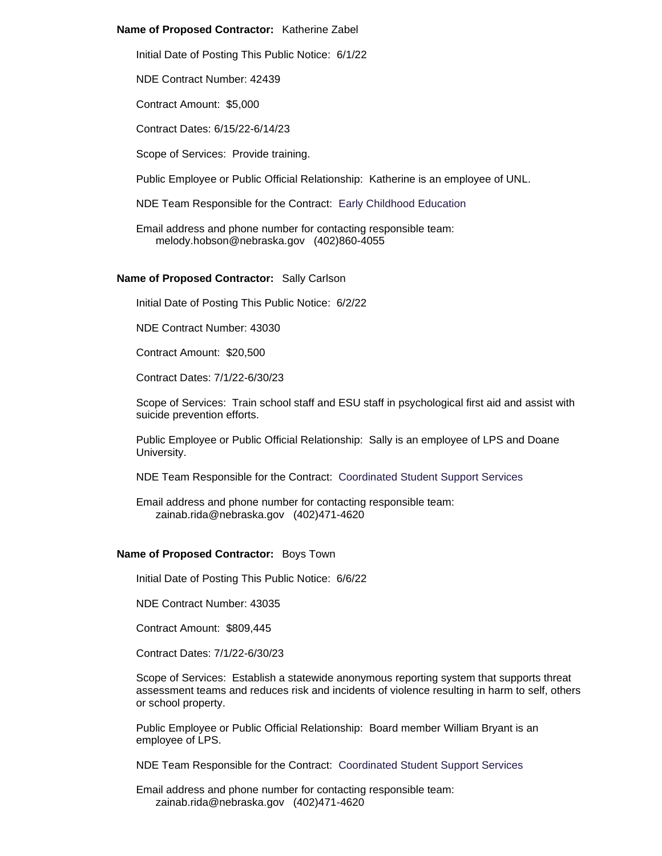### **Name of Proposed Contractor:** Katherine Zabel

Initial Date of Posting This Public Notice: 6/1/22

NDE Contract Number: 42439

Contract Amount: \$5,000

Contract Dates: 6/15/22-6/14/23

Scope of Services: Provide training.

Public Employee or Public Official Relationship: Katherine is an employee of UNL.

NDE Team Responsible for the Contract: Early Childhood Education

Email address and phone number for contacting responsible team: melody.hobson@nebraska.gov (402)860-4055

#### **Name of Proposed Contractor:** Sally Carlson

Initial Date of Posting This Public Notice: 6/2/22

NDE Contract Number: 43030

Contract Amount: \$20,500

Contract Dates: 7/1/22-6/30/23

Scope of Services: Train school staff and ESU staff in psychological first aid and assist with suicide prevention efforts.

Public Employee or Public Official Relationship: Sally is an employee of LPS and Doane University.

NDE Team Responsible for the Contract: Coordinated Student Support Services

Email address and phone number for contacting responsible team: zainab.rida@nebraska.gov (402)471-4620

### **Name of Proposed Contractor:** Boys Town

Initial Date of Posting This Public Notice: 6/6/22

NDE Contract Number: 43035

Contract Amount: \$809,445

Contract Dates: 7/1/22-6/30/23

Scope of Services: Establish a statewide anonymous reporting system that supports threat assessment teams and reduces risk and incidents of violence resulting in harm to self, others or school property.

Public Employee or Public Official Relationship: Board member William Bryant is an employee of LPS.

NDE Team Responsible for the Contract: Coordinated Student Support Services

Email address and phone number for contacting responsible team: zainab.rida@nebraska.gov (402)471-4620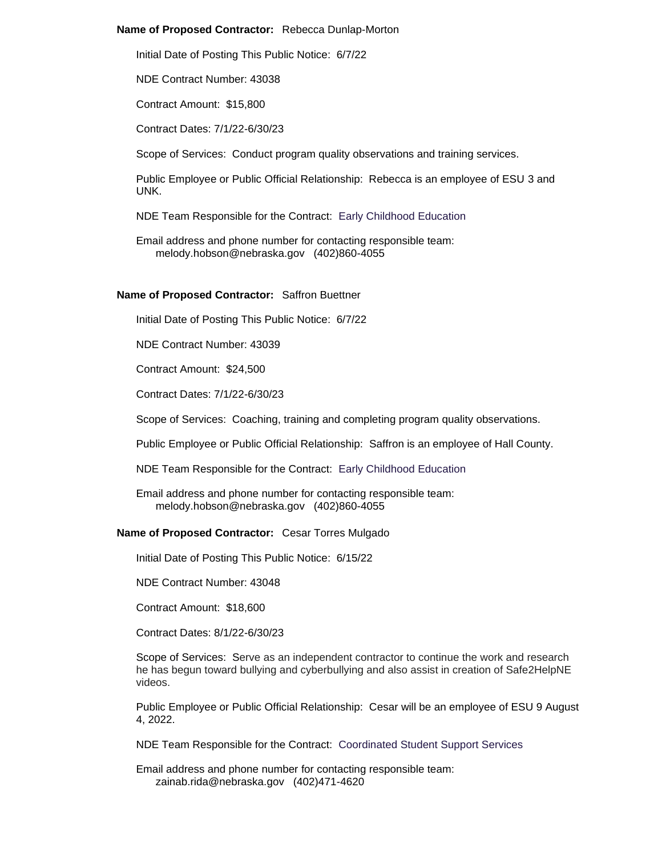### **Name of Proposed Contractor:** Rebecca Dunlap-Morton

Initial Date of Posting This Public Notice: 6/7/22

NDE Contract Number: 43038

Contract Amount: \$15,800

Contract Dates: 7/1/22-6/30/23

Scope of Services: Conduct program quality observations and training services.

Public Employee or Public Official Relationship: Rebecca is an employee of ESU 3 and UNK.

NDE Team Responsible for the Contract: Early Childhood Education

Email address and phone number for contacting responsible team: melody.hobson@nebraska.gov (402)860-4055

### **Name of Proposed Contractor:** Saffron Buettner

Initial Date of Posting This Public Notice: 6/7/22

NDE Contract Number: 43039

Contract Amount: \$24,500

Contract Dates: 7/1/22-6/30/23

Scope of Services: Coaching, training and completing program quality observations.

Public Employee or Public Official Relationship: Saffron is an employee of Hall County.

NDE Team Responsible for the Contract: Early Childhood Education

Email address and phone number for contacting responsible team: melody.hobson@nebraska.gov (402)860-4055

#### **Name of Proposed Contractor:** Cesar Torres Mulgado

Initial Date of Posting This Public Notice: 6/15/22

NDE Contract Number: 43048

Contract Amount: \$18,600

Contract Dates: 8/1/22-6/30/23

Scope of Services: Serve as an independent contractor to continue the work and research he has begun toward bullying and cyberbullying and also assist in creation of Safe2HelpNE videos.

Public Employee or Public Official Relationship: Cesar will be an employee of ESU 9 August 4, 2022.

NDE Team Responsible for the Contract: Coordinated Student Support Services

Email address and phone number for contacting responsible team: zainab.rida@nebraska.gov (402)471-4620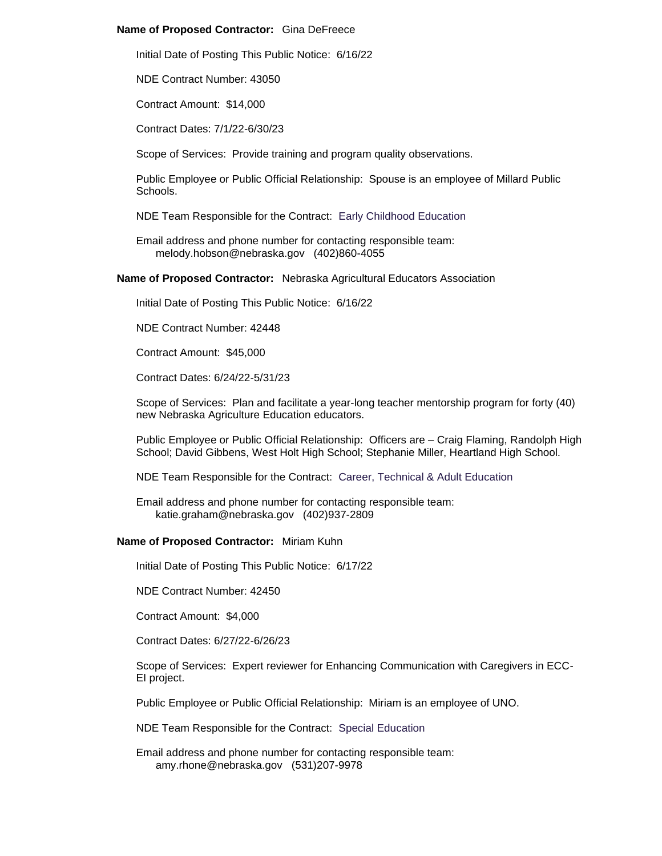## **Name of Proposed Contractor:** Gina DeFreece

Initial Date of Posting This Public Notice: 6/16/22

NDE Contract Number: 43050

Contract Amount: \$14,000

Contract Dates: 7/1/22-6/30/23

Scope of Services: Provide training and program quality observations.

Public Employee or Public Official Relationship: Spouse is an employee of Millard Public Schools.

NDE Team Responsible for the Contract: Early Childhood Education

Email address and phone number for contacting responsible team: melody.hobson@nebraska.gov (402)860-4055

**Name of Proposed Contractor:** Nebraska Agricultural Educators Association

Initial Date of Posting This Public Notice: 6/16/22

NDE Contract Number: 42448

Contract Amount: \$45,000

Contract Dates: 6/24/22-5/31/23

Scope of Services: Plan and facilitate a year-long teacher mentorship program for forty (40) new Nebraska Agriculture Education educators.

Public Employee or Public Official Relationship: Officers are – Craig Flaming, Randolph High School; David Gibbens, West Holt High School; Stephanie Miller, Heartland High School.

NDE Team Responsible for the Contract: Career, Technical & Adult Education

Email address and phone number for contacting responsible team: katie.graham@nebraska.gov (402)937-2809

## **Name of Proposed Contractor:** Miriam Kuhn

Initial Date of Posting This Public Notice: 6/17/22

NDE Contract Number: 42450

Contract Amount: \$4,000

Contract Dates: 6/27/22-6/26/23

Scope of Services: Expert reviewer for Enhancing Communication with Caregivers in ECC-EI project.

Public Employee or Public Official Relationship: Miriam is an employee of UNO.

NDE Team Responsible for the Contract: Special Education

Email address and phone number for contacting responsible team: amy.rhone@nebraska.gov (531)207-9978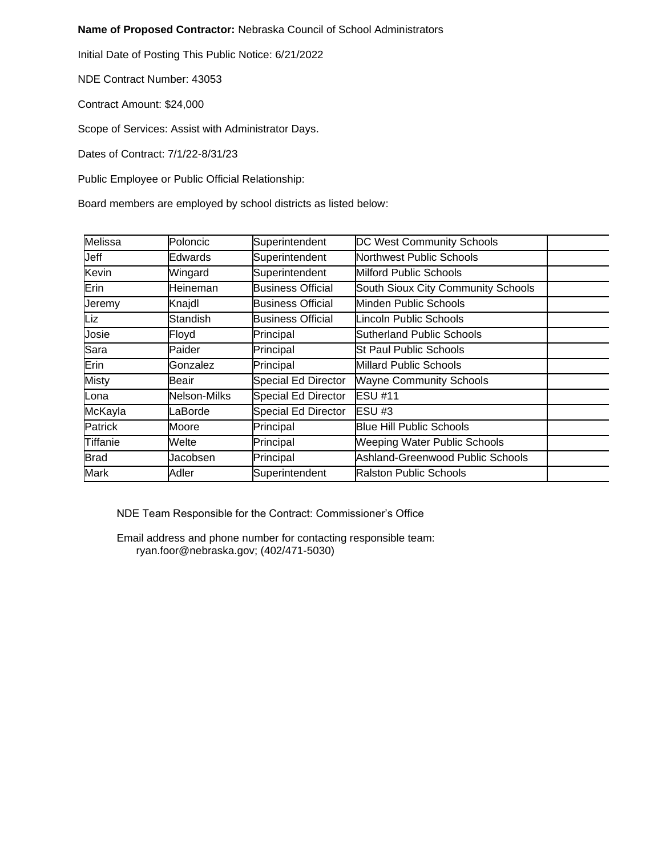# **Name of Proposed Contractor:** Nebraska Council of School Administrators

Initial Date of Posting This Public Notice: 6/21/2022

NDE Contract Number: 43053

Contract Amount: \$24,000

Scope of Services: Assist with Administrator Days.

Dates of Contract: 7/1/22-8/31/23

Public Employee or Public Official Relationship:

Board members are employed by school districts as listed below:

| Melissa      | Poloncic        | Superintendent             | DC West Community Schools          |  |
|--------------|-----------------|----------------------------|------------------------------------|--|
| Jeff         | Edwards         | Superintendent             | Northwest Public Schools           |  |
| Kevin        | Wingard         | Superintendent             | Milford Public Schools             |  |
| Erin         | Heineman        | <b>Business Official</b>   | South Sioux City Community Schools |  |
| Jeremy       | Knajdl          | <b>Business Official</b>   | Minden Public Schools              |  |
| Liz          | <b>Standish</b> | <b>Business Official</b>   | <b>Lincoln Public Schools</b>      |  |
| Josie        | Floyd           | Principal                  | Sutherland Public Schools          |  |
| Sara         | Paider          | Principal                  | St Paul Public Schools             |  |
| Erin         | Gonzalez        | Principal                  | <b>Millard Public Schools</b>      |  |
| <b>Misty</b> | Beair           | Special Ed Director        | <b>Wayne Community Schools</b>     |  |
| Lona         | Nelson-Milks    | <b>Special Ed Director</b> | <b>ESU #11</b>                     |  |
| McKayla      | LaBorde         | <b>Special Ed Director</b> | ESU #3                             |  |
| Patrick      | Moore           | Principal                  | <b>Blue Hill Public Schools</b>    |  |
| Tiffanie     | Welte           | Principal                  | Weeping Water Public Schools       |  |
| <b>Brad</b>  | Jacobsen        | Principal                  | Ashland-Greenwood Public Schools   |  |
| <b>Mark</b>  | Adler           | Superintendent             | <b>Ralston Public Schools</b>      |  |

NDE Team Responsible for the Contract: Commissioner's Office

Email address and phone number for contacting responsible team: ryan.foor@nebraska.gov; (402/471-5030)